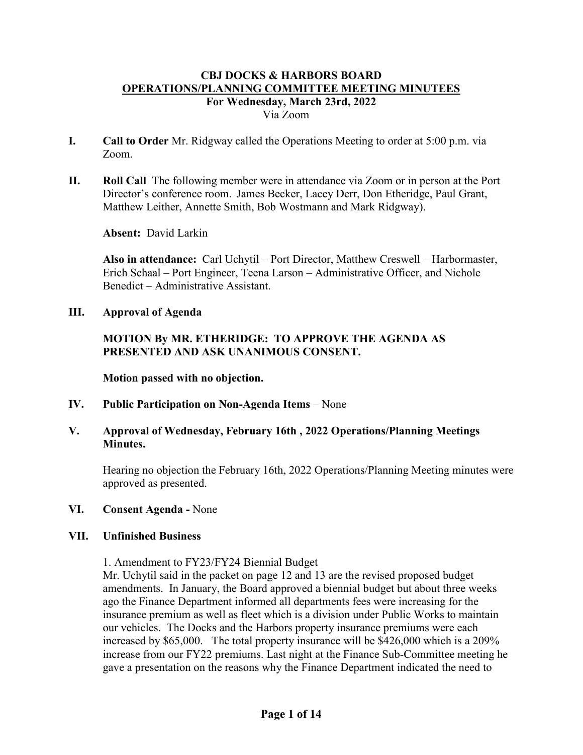- **I. Call to Order** Mr. Ridgway called the Operations Meeting to order at 5:00 p.m. via Zoom.
- **II. Roll Call** The following member were in attendance via Zoom or in person at the Port Director's conference room. James Becker, Lacey Derr, Don Etheridge, Paul Grant, Matthew Leither, Annette Smith, Bob Wostmann and Mark Ridgway).

**Absent:** David Larkin

**Also in attendance:** Carl Uchytil – Port Director, Matthew Creswell – Harbormaster, Erich Schaal – Port Engineer, Teena Larson – Administrative Officer, and Nichole Benedict – Administrative Assistant.

**III. Approval of Agenda**

# **MOTION By MR. ETHERIDGE: TO APPROVE THE AGENDA AS PRESENTED AND ASK UNANIMOUS CONSENT.**

**Motion passed with no objection.**

**IV. Public Participation on Non-Agenda Items** – None

## **V. Approval of Wednesday, February 16th , 2022 Operations/Planning Meetings Minutes.**

Hearing no objection the February 16th, 2022 Operations/Planning Meeting minutes were approved as presented.

## **VI. Consent Agenda -** None

#### **VII. Unfinished Business**

1. Amendment to FY23/FY24 Biennial Budget

Mr. Uchytil said in the packet on page 12 and 13 are the revised proposed budget amendments. In January, the Board approved a biennial budget but about three weeks ago the Finance Department informed all departments fees were increasing for the insurance premium as well as fleet which is a division under Public Works to maintain our vehicles. The Docks and the Harbors property insurance premiums were each increased by \$65,000. The total property insurance will be \$426,000 which is a 209% increase from our FY22 premiums. Last night at the Finance Sub-Committee meeting he gave a presentation on the reasons why the Finance Department indicated the need to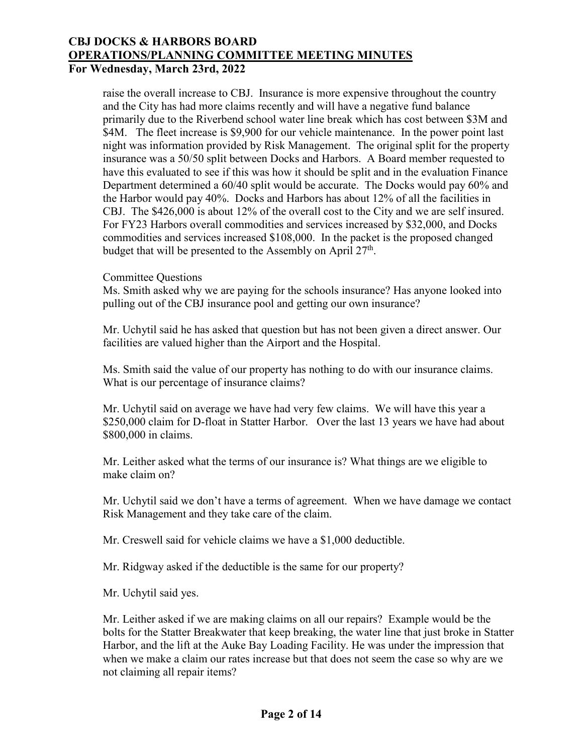raise the overall increase to CBJ. Insurance is more expensive throughout the country and the City has had more claims recently and will have a negative fund balance primarily due to the Riverbend school water line break which has cost between \$3M and \$4M. The fleet increase is \$9,900 for our vehicle maintenance. In the power point last night was information provided by Risk Management. The original split for the property insurance was a 50/50 split between Docks and Harbors. A Board member requested to have this evaluated to see if this was how it should be split and in the evaluation Finance Department determined a 60/40 split would be accurate. The Docks would pay 60% and the Harbor would pay 40%. Docks and Harbors has about 12% of all the facilities in CBJ. The \$426,000 is about 12% of the overall cost to the City and we are self insured. For FY23 Harbors overall commodities and services increased by \$32,000, and Docks commodities and services increased \$108,000. In the packet is the proposed changed budget that will be presented to the Assembly on April  $27<sup>th</sup>$ .

#### Committee Questions

Ms. Smith asked why we are paying for the schools insurance? Has anyone looked into pulling out of the CBJ insurance pool and getting our own insurance?

Mr. Uchytil said he has asked that question but has not been given a direct answer. Our facilities are valued higher than the Airport and the Hospital.

Ms. Smith said the value of our property has nothing to do with our insurance claims. What is our percentage of insurance claims?

Mr. Uchytil said on average we have had very few claims. We will have this year a \$250,000 claim for D-float in Statter Harbor. Over the last 13 years we have had about \$800,000 in claims.

Mr. Leither asked what the terms of our insurance is? What things are we eligible to make claim on?

Mr. Uchytil said we don't have a terms of agreement. When we have damage we contact Risk Management and they take care of the claim.

Mr. Creswell said for vehicle claims we have a \$1,000 deductible.

Mr. Ridgway asked if the deductible is the same for our property?

Mr. Uchytil said yes.

Mr. Leither asked if we are making claims on all our repairs? Example would be the bolts for the Statter Breakwater that keep breaking, the water line that just broke in Statter Harbor, and the lift at the Auke Bay Loading Facility. He was under the impression that when we make a claim our rates increase but that does not seem the case so why are we not claiming all repair items?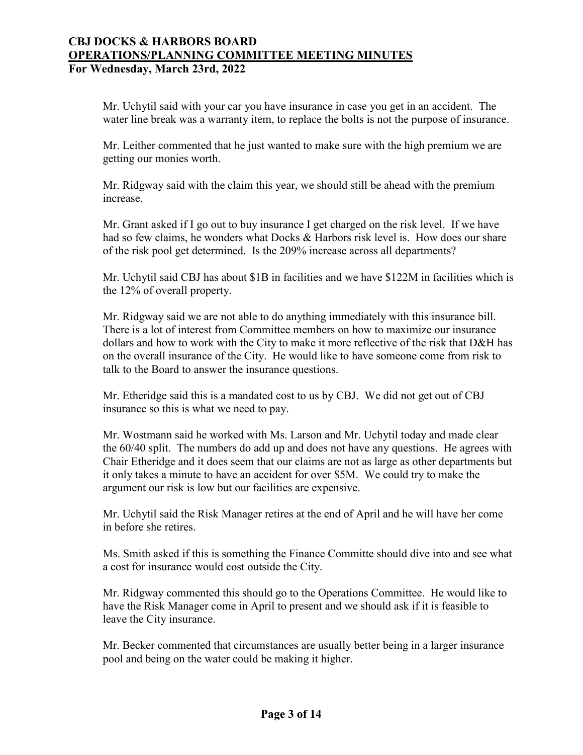Mr. Uchytil said with your car you have insurance in case you get in an accident. The water line break was a warranty item, to replace the bolts is not the purpose of insurance.

Mr. Leither commented that he just wanted to make sure with the high premium we are getting our monies worth.

Mr. Ridgway said with the claim this year, we should still be ahead with the premium increase.

Mr. Grant asked if I go out to buy insurance I get charged on the risk level. If we have had so few claims, he wonders what Docks & Harbors risk level is. How does our share of the risk pool get determined. Is the 209% increase across all departments?

Mr. Uchytil said CBJ has about \$1B in facilities and we have \$122M in facilities which is the 12% of overall property.

Mr. Ridgway said we are not able to do anything immediately with this insurance bill. There is a lot of interest from Committee members on how to maximize our insurance dollars and how to work with the City to make it more reflective of the risk that D&H has on the overall insurance of the City. He would like to have someone come from risk to talk to the Board to answer the insurance questions.

Mr. Etheridge said this is a mandated cost to us by CBJ. We did not get out of CBJ insurance so this is what we need to pay.

Mr. Wostmann said he worked with Ms. Larson and Mr. Uchytil today and made clear the 60/40 split. The numbers do add up and does not have any questions. He agrees with Chair Etheridge and it does seem that our claims are not as large as other departments but it only takes a minute to have an accident for over \$5M. We could try to make the argument our risk is low but our facilities are expensive.

Mr. Uchytil said the Risk Manager retires at the end of April and he will have her come in before she retires.

Ms. Smith asked if this is something the Finance Committe should dive into and see what a cost for insurance would cost outside the City.

Mr. Ridgway commented this should go to the Operations Committee. He would like to have the Risk Manager come in April to present and we should ask if it is feasible to leave the City insurance.

Mr. Becker commented that circumstances are usually better being in a larger insurance pool and being on the water could be making it higher.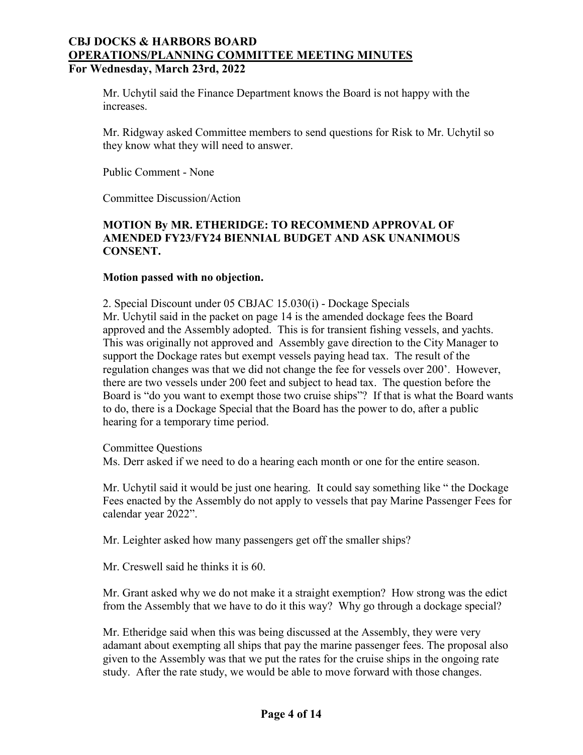## Mr. Uchytil said the Finance Department knows the Board is not happy with the increases.

Mr. Ridgway asked Committee members to send questions for Risk to Mr. Uchytil so they know what they will need to answer.

Public Comment - None

Committee Discussion/Action

# **MOTION By MR. ETHERIDGE: TO RECOMMEND APPROVAL OF AMENDED FY23/FY24 BIENNIAL BUDGET AND ASK UNANIMOUS CONSENT.**

#### **Motion passed with no objection.**

2. Special Discount under 05 CBJAC 15.030(i) - Dockage Specials Mr. Uchytil said in the packet on page 14 is the amended dockage fees the Board approved and the Assembly adopted. This is for transient fishing vessels, and yachts. This was originally not approved and Assembly gave direction to the City Manager to support the Dockage rates but exempt vessels paying head tax. The result of the regulation changes was that we did not change the fee for vessels over 200'. However, there are two vessels under 200 feet and subject to head tax. The question before the Board is "do you want to exempt those two cruise ships"? If that is what the Board wants to do, there is a Dockage Special that the Board has the power to do, after a public hearing for a temporary time period.

#### Committee Questions

Ms. Derr asked if we need to do a hearing each month or one for the entire season.

Mr. Uchytil said it would be just one hearing. It could say something like " the Dockage Fees enacted by the Assembly do not apply to vessels that pay Marine Passenger Fees for calendar year 2022".

Mr. Leighter asked how many passengers get off the smaller ships?

Mr. Creswell said he thinks it is 60.

Mr. Grant asked why we do not make it a straight exemption? How strong was the edict from the Assembly that we have to do it this way? Why go through a dockage special?

Mr. Etheridge said when this was being discussed at the Assembly, they were very adamant about exempting all ships that pay the marine passenger fees. The proposal also given to the Assembly was that we put the rates for the cruise ships in the ongoing rate study. After the rate study, we would be able to move forward with those changes.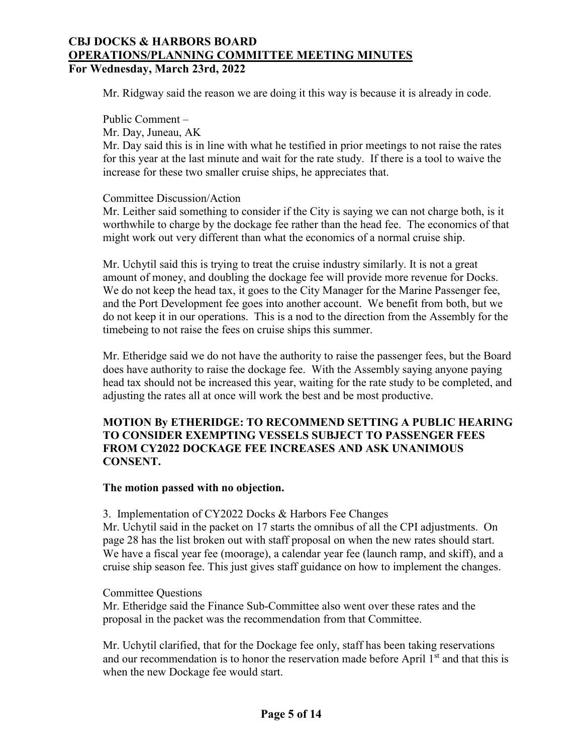Mr. Ridgway said the reason we are doing it this way is because it is already in code.

Public Comment – Mr. Day, Juneau, AK Mr. Day said this is in line with what he testified in prior meetings to not raise the rates for this year at the last minute and wait for the rate study. If there is a tool to waive the increase for these two smaller cruise ships, he appreciates that.

#### Committee Discussion/Action

Mr. Leither said something to consider if the City is saying we can not charge both, is it worthwhile to charge by the dockage fee rather than the head fee. The economics of that might work out very different than what the economics of a normal cruise ship.

Mr. Uchytil said this is trying to treat the cruise industry similarly. It is not a great amount of money, and doubling the dockage fee will provide more revenue for Docks. We do not keep the head tax, it goes to the City Manager for the Marine Passenger fee, and the Port Development fee goes into another account. We benefit from both, but we do not keep it in our operations. This is a nod to the direction from the Assembly for the timebeing to not raise the fees on cruise ships this summer.

Mr. Etheridge said we do not have the authority to raise the passenger fees, but the Board does have authority to raise the dockage fee. With the Assembly saying anyone paying head tax should not be increased this year, waiting for the rate study to be completed, and adjusting the rates all at once will work the best and be most productive.

# **MOTION By ETHERIDGE: TO RECOMMEND SETTING A PUBLIC HEARING TO CONSIDER EXEMPTING VESSELS SUBJECT TO PASSENGER FEES FROM CY2022 DOCKAGE FEE INCREASES AND ASK UNANIMOUS CONSENT.**

## **The motion passed with no objection.**

#### 3. Implementation of CY2022 Docks & Harbors Fee Changes

Mr. Uchytil said in the packet on 17 starts the omnibus of all the CPI adjustments. On page 28 has the list broken out with staff proposal on when the new rates should start. We have a fiscal year fee (moorage), a calendar year fee (launch ramp, and skiff), and a cruise ship season fee. This just gives staff guidance on how to implement the changes.

#### Committee Questions

Mr. Etheridge said the Finance Sub-Committee also went over these rates and the proposal in the packet was the recommendation from that Committee.

Mr. Uchytil clarified, that for the Dockage fee only, staff has been taking reservations and our recommendation is to honor the reservation made before April  $1<sup>st</sup>$  and that this is when the new Dockage fee would start.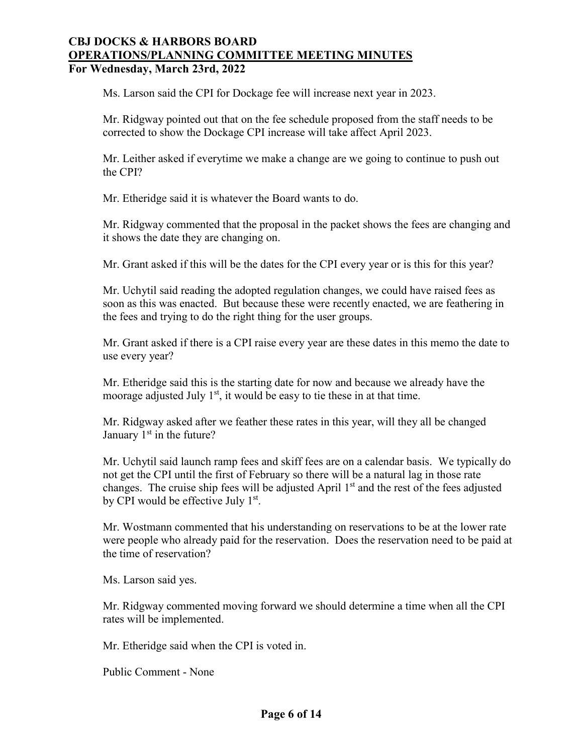Ms. Larson said the CPI for Dockage fee will increase next year in 2023.

Mr. Ridgway pointed out that on the fee schedule proposed from the staff needs to be corrected to show the Dockage CPI increase will take affect April 2023.

Mr. Leither asked if everytime we make a change are we going to continue to push out the CPI?

Mr. Etheridge said it is whatever the Board wants to do.

Mr. Ridgway commented that the proposal in the packet shows the fees are changing and it shows the date they are changing on.

Mr. Grant asked if this will be the dates for the CPI every year or is this for this year?

Mr. Uchytil said reading the adopted regulation changes, we could have raised fees as soon as this was enacted. But because these were recently enacted, we are feathering in the fees and trying to do the right thing for the user groups.

Mr. Grant asked if there is a CPI raise every year are these dates in this memo the date to use every year?

Mr. Etheridge said this is the starting date for now and because we already have the moorage adjusted July  $1<sup>st</sup>$ , it would be easy to tie these in at that time.

Mr. Ridgway asked after we feather these rates in this year, will they all be changed January  $1<sup>st</sup>$  in the future?

Mr. Uchytil said launch ramp fees and skiff fees are on a calendar basis. We typically do not get the CPI until the first of February so there will be a natural lag in those rate changes. The cruise ship fees will be adjusted April  $1<sup>st</sup>$  and the rest of the fees adjusted by CPI would be effective July  $1<sup>st</sup>$ .

Mr. Wostmann commented that his understanding on reservations to be at the lower rate were people who already paid for the reservation. Does the reservation need to be paid at the time of reservation?

Ms. Larson said yes.

Mr. Ridgway commented moving forward we should determine a time when all the CPI rates will be implemented.

Mr. Etheridge said when the CPI is voted in.

Public Comment - None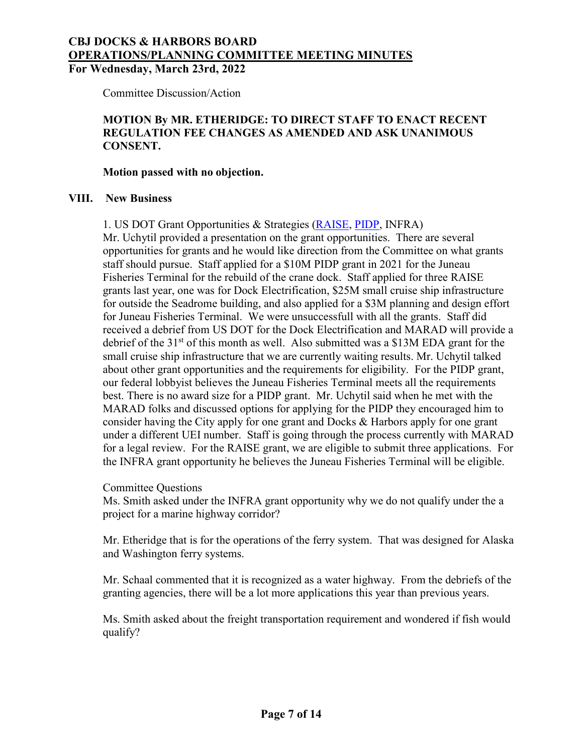# **CBJ DOCKS & HARBORS BOARD OPERATIONS/PLANNING COMMITTEE MEETING MINUTES**

**For Wednesday, March 23rd, 2022**

Committee Discussion/Action

# **MOTION By MR. ETHERIDGE: TO DIRECT STAFF TO ENACT RECENT REGULATION FEE CHANGES AS AMENDED AND ASK UNANIMOUS CONSENT.**

#### **Motion passed with no objection.**

#### **VIII. New Business**

1. US DOT Grant Opportunities & Strategies [\(RAISE,](https://www.transportation.gov/raise/raise-2022-how-apply-webinar) [PIDP,](https://www.maritime.dot.gov/office-port-infrastructure-development/port-and-terminal-infrastructure-development/port-2) INFRA)

Mr. Uchytil provided a presentation on the grant opportunities. There are several opportunities for grants and he would like direction from the Committee on what grants staff should pursue. Staff applied for a \$10M PIDP grant in 2021 for the Juneau Fisheries Terminal for the rebuild of the crane dock. Staff applied for three RAISE grants last year, one was for Dock Electrification, \$25M small cruise ship infrastructure for outside the Seadrome building, and also applied for a \$3M planning and design effort for Juneau Fisheries Terminal. We were unsuccessfull with all the grants. Staff did received a debrief from US DOT for the Dock Electrification and MARAD will provide a debrief of the  $31<sup>st</sup>$  of this month as well. Also submitted was a \$13M EDA grant for the small cruise ship infrastructure that we are currently waiting results. Mr. Uchytil talked about other grant opportunities and the requirements for eligibility. For the PIDP grant, our federal lobbyist believes the Juneau Fisheries Terminal meets all the requirements best. There is no award size for a PIDP grant. Mr. Uchytil said when he met with the MARAD folks and discussed options for applying for the PIDP they encouraged him to consider having the City apply for one grant and Docks & Harbors apply for one grant under a different UEI number. Staff is going through the process currently with MARAD for a legal review. For the RAISE grant, we are eligible to submit three applications. For the INFRA grant opportunity he believes the Juneau Fisheries Terminal will be eligible.

Committee Questions

Ms. Smith asked under the INFRA grant opportunity why we do not qualify under the a project for a marine highway corridor?

Mr. Etheridge that is for the operations of the ferry system. That was designed for Alaska and Washington ferry systems.

Mr. Schaal commented that it is recognized as a water highway. From the debriefs of the granting agencies, there will be a lot more applications this year than previous years.

Ms. Smith asked about the freight transportation requirement and wondered if fish would qualify?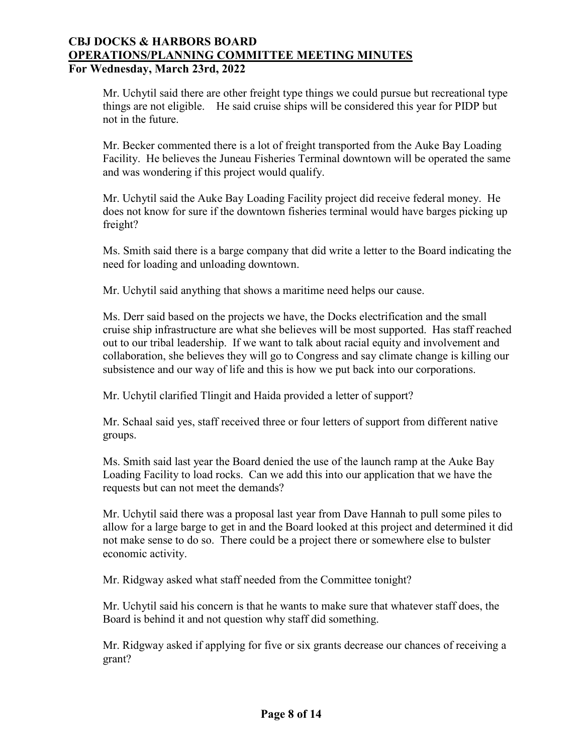Mr. Uchytil said there are other freight type things we could pursue but recreational type things are not eligible. He said cruise ships will be considered this year for PIDP but not in the future.

Mr. Becker commented there is a lot of freight transported from the Auke Bay Loading Facility. He believes the Juneau Fisheries Terminal downtown will be operated the same and was wondering if this project would qualify.

Mr. Uchytil said the Auke Bay Loading Facility project did receive federal money. He does not know for sure if the downtown fisheries terminal would have barges picking up freight?

Ms. Smith said there is a barge company that did write a letter to the Board indicating the need for loading and unloading downtown.

Mr. Uchytil said anything that shows a maritime need helps our cause.

Ms. Derr said based on the projects we have, the Docks electrification and the small cruise ship infrastructure are what she believes will be most supported. Has staff reached out to our tribal leadership. If we want to talk about racial equity and involvement and collaboration, she believes they will go to Congress and say climate change is killing our subsistence and our way of life and this is how we put back into our corporations.

Mr. Uchytil clarified Tlingit and Haida provided a letter of support?

Mr. Schaal said yes, staff received three or four letters of support from different native groups.

Ms. Smith said last year the Board denied the use of the launch ramp at the Auke Bay Loading Facility to load rocks. Can we add this into our application that we have the requests but can not meet the demands?

Mr. Uchytil said there was a proposal last year from Dave Hannah to pull some piles to allow for a large barge to get in and the Board looked at this project and determined it did not make sense to do so. There could be a project there or somewhere else to bulster economic activity.

Mr. Ridgway asked what staff needed from the Committee tonight?

Mr. Uchytil said his concern is that he wants to make sure that whatever staff does, the Board is behind it and not question why staff did something.

Mr. Ridgway asked if applying for five or six grants decrease our chances of receiving a grant?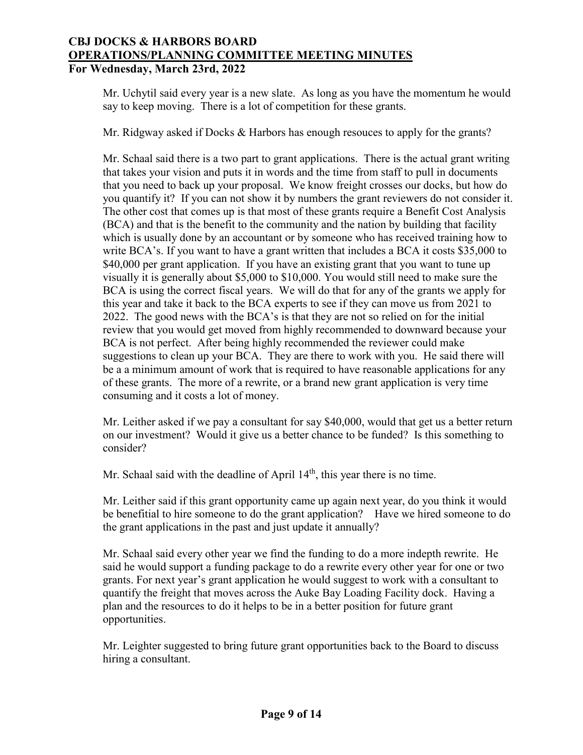Mr. Uchytil said every year is a new slate. As long as you have the momentum he would say to keep moving. There is a lot of competition for these grants.

Mr. Ridgway asked if Docks & Harbors has enough resouces to apply for the grants?

Mr. Schaal said there is a two part to grant applications. There is the actual grant writing that takes your vision and puts it in words and the time from staff to pull in documents that you need to back up your proposal. We know freight crosses our docks, but how do you quantify it? If you can not show it by numbers the grant reviewers do not consider it. The other cost that comes up is that most of these grants require a Benefit Cost Analysis (BCA) and that is the benefit to the community and the nation by building that facility which is usually done by an accountant or by someone who has received training how to write BCA's. If you want to have a grant written that includes a BCA it costs \$35,000 to \$40,000 per grant application. If you have an existing grant that you want to tune up visually it is generally about \$5,000 to \$10,000. You would still need to make sure the BCA is using the correct fiscal years. We will do that for any of the grants we apply for this year and take it back to the BCA experts to see if they can move us from 2021 to 2022. The good news with the BCA's is that they are not so relied on for the initial review that you would get moved from highly recommended to downward because your BCA is not perfect. After being highly recommended the reviewer could make suggestions to clean up your BCA. They are there to work with you. He said there will be a a minimum amount of work that is required to have reasonable applications for any of these grants. The more of a rewrite, or a brand new grant application is very time consuming and it costs a lot of money.

Mr. Leither asked if we pay a consultant for say \$40,000, would that get us a better return on our investment? Would it give us a better chance to be funded? Is this something to consider?

Mr. Schaal said with the deadline of April  $14<sup>th</sup>$ , this year there is no time.

Mr. Leither said if this grant opportunity came up again next year, do you think it would be benefitial to hire someone to do the grant application? Have we hired someone to do the grant applications in the past and just update it annually?

Mr. Schaal said every other year we find the funding to do a more indepth rewrite. He said he would support a funding package to do a rewrite every other year for one or two grants. For next year's grant application he would suggest to work with a consultant to quantify the freight that moves across the Auke Bay Loading Facility dock. Having a plan and the resources to do it helps to be in a better position for future grant opportunities.

Mr. Leighter suggested to bring future grant opportunities back to the Board to discuss hiring a consultant.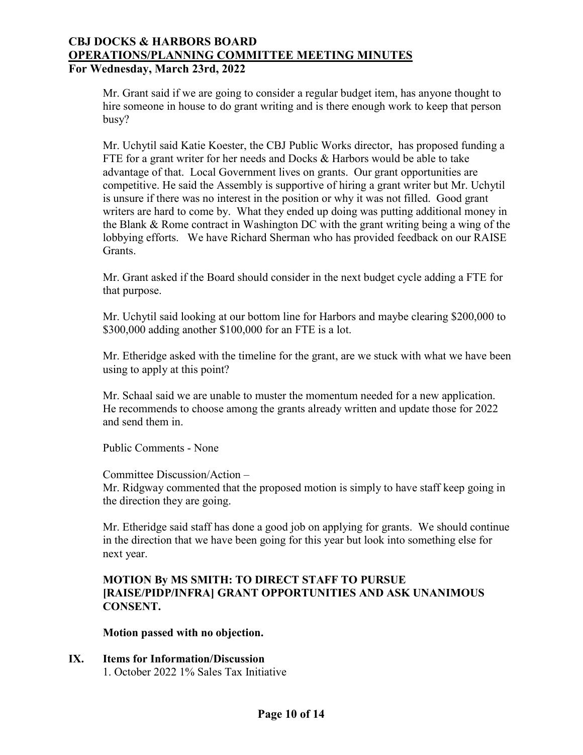Mr. Grant said if we are going to consider a regular budget item, has anyone thought to hire someone in house to do grant writing and is there enough work to keep that person busy?

Mr. Uchytil said Katie Koester, the CBJ Public Works director, has proposed funding a FTE for a grant writer for her needs and Docks & Harbors would be able to take advantage of that. Local Government lives on grants. Our grant opportunities are competitive. He said the Assembly is supportive of hiring a grant writer but Mr. Uchytil is unsure if there was no interest in the position or why it was not filled. Good grant writers are hard to come by. What they ended up doing was putting additional money in the Blank & Rome contract in Washington DC with the grant writing being a wing of the lobbying efforts. We have Richard Sherman who has provided feedback on our RAISE Grants.

Mr. Grant asked if the Board should consider in the next budget cycle adding a FTE for that purpose.

Mr. Uchytil said looking at our bottom line for Harbors and maybe clearing \$200,000 to \$300,000 adding another \$100,000 for an FTE is a lot.

Mr. Etheridge asked with the timeline for the grant, are we stuck with what we have been using to apply at this point?

Mr. Schaal said we are unable to muster the momentum needed for a new application. He recommends to choose among the grants already written and update those for 2022 and send them in.

Public Comments - None

Committee Discussion/Action – Mr. Ridgway commented that the proposed motion is simply to have staff keep going in the direction they are going.

Mr. Etheridge said staff has done a good job on applying for grants. We should continue in the direction that we have been going for this year but look into something else for next year.

# **MOTION By MS SMITH: TO DIRECT STAFF TO PURSUE [RAISE/PIDP/INFRA] GRANT OPPORTUNITIES AND ASK UNANIMOUS CONSENT.**

**Motion passed with no objection.**

# **IX. Items for Information/Discussion**

1. October 2022 1% Sales Tax Initiative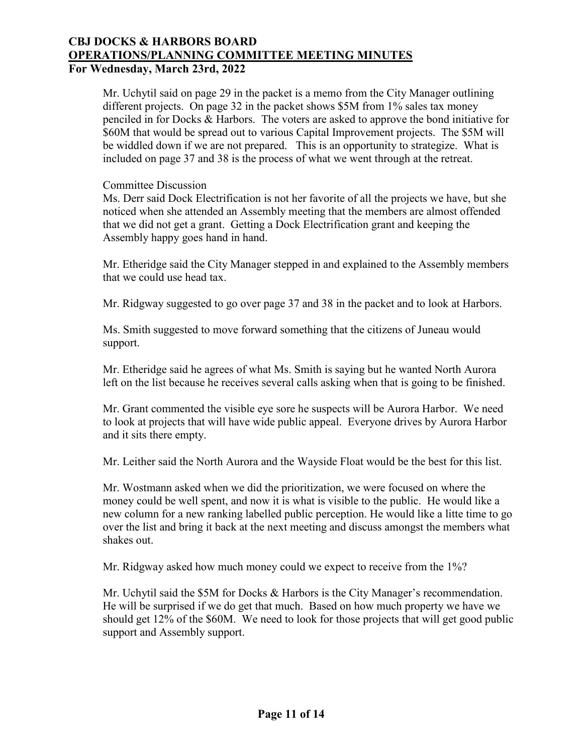Mr. Uchytil said on page 29 in the packet is a memo from the City Manager outlining different projects. On page 32 in the packet shows \$5M from 1% sales tax money penciled in for Docks & Harbors. The voters are asked to approve the bond initiative for \$60M that would be spread out to various Capital Improvement projects. The \$5M will be widdled down if we are not prepared. This is an opportunity to strategize. What is included on page 37 and 38 is the process of what we went through at the retreat.

Committee Discussion

Ms. Derr said Dock Electrification is not her favorite of all the projects we have, but she noticed when she attended an Assembly meeting that the members are almost offended that we did not get a grant. Getting a Dock Electrification grant and keeping the Assembly happy goes hand in hand.

Mr. Etheridge said the City Manager stepped in and explained to the Assembly members that we could use head tax.

Mr. Ridgway suggested to go over page 37 and 38 in the packet and to look at Harbors.

Ms. Smith suggested to move forward something that the citizens of Juneau would support.

Mr. Etheridge said he agrees of what Ms. Smith is saying but he wanted North Aurora left on the list because he receives several calls asking when that is going to be finished.

Mr. Grant commented the visible eye sore he suspects will be Aurora Harbor. We need to look at projects that will have wide public appeal. Everyone drives by Aurora Harbor and it sits there empty.

Mr. Leither said the North Aurora and the Wayside Float would be the best for this list.

Mr. Wostmann asked when we did the prioritization, we were focused on where the money could be well spent, and now it is what is visible to the public. He would like a new column for a new ranking labelled public perception. He would like a litte time to go over the list and bring it back at the next meeting and discuss amongst the members what shakes out.

Mr. Ridgway asked how much money could we expect to receive from the 1%?

Mr. Uchytil said the \$5M for Docks & Harbors is the City Manager's recommendation. He will be surprised if we do get that much. Based on how much property we have we should get 12% of the \$60M. We need to look for those projects that will get good public support and Assembly support.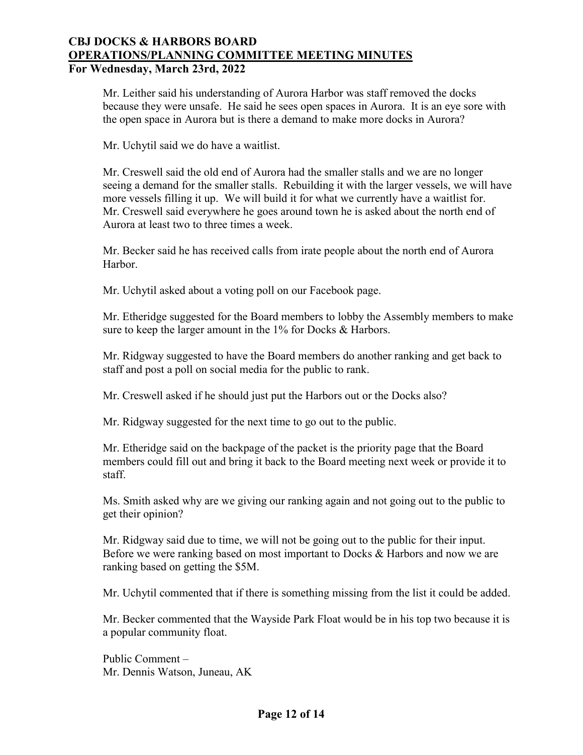Mr. Leither said his understanding of Aurora Harbor was staff removed the docks because they were unsafe. He said he sees open spaces in Aurora. It is an eye sore with the open space in Aurora but is there a demand to make more docks in Aurora?

Mr. Uchytil said we do have a waitlist.

Mr. Creswell said the old end of Aurora had the smaller stalls and we are no longer seeing a demand for the smaller stalls. Rebuilding it with the larger vessels, we will have more vessels filling it up. We will build it for what we currently have a waitlist for. Mr. Creswell said everywhere he goes around town he is asked about the north end of Aurora at least two to three times a week.

Mr. Becker said he has received calls from irate people about the north end of Aurora Harbor.

Mr. Uchytil asked about a voting poll on our Facebook page.

Mr. Etheridge suggested for the Board members to lobby the Assembly members to make sure to keep the larger amount in the 1% for Docks & Harbors.

Mr. Ridgway suggested to have the Board members do another ranking and get back to staff and post a poll on social media for the public to rank.

Mr. Creswell asked if he should just put the Harbors out or the Docks also?

Mr. Ridgway suggested for the next time to go out to the public.

Mr. Etheridge said on the backpage of the packet is the priority page that the Board members could fill out and bring it back to the Board meeting next week or provide it to staff.

Ms. Smith asked why are we giving our ranking again and not going out to the public to get their opinion?

Mr. Ridgway said due to time, we will not be going out to the public for their input. Before we were ranking based on most important to Docks & Harbors and now we are ranking based on getting the \$5M.

Mr. Uchytil commented that if there is something missing from the list it could be added.

Mr. Becker commented that the Wayside Park Float would be in his top two because it is a popular community float.

Public Comment – Mr. Dennis Watson, Juneau, AK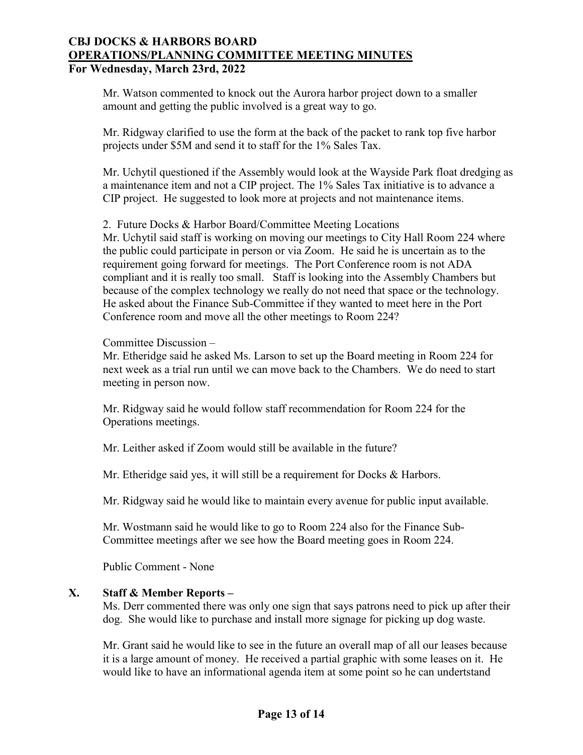Mr. Watson commented to knock out the Aurora harbor project down to a smaller amount and getting the public involved is a great way to go.

Mr. Ridgway clarified to use the form at the back of the packet to rank top five harbor projects under \$5M and send it to staff for the 1% Sales Tax.

Mr. Uchytil questioned if the Assembly would look at the Wayside Park float dredging as a maintenance item and not a CIP project. The 1% Sales Tax initiative is to advance a CIP project. He suggested to look more at projects and not maintenance items.

2. Future Docks & Harbor Board/Committee Meeting Locations

Mr. Uchytil said staff is working on moving our meetings to City Hall Room 224 where the public could participate in person or via Zoom. He said he is uncertain as to the requirement going forward for meetings. The Port Conference room is not ADA compliant and it is really too small. Staff is looking into the Assembly Chambers but because of the complex technology we really do not need that space or the technology. He asked about the Finance Sub-Committee if they wanted to meet here in the Port Conference room and move all the other meetings to Room 224?

Committee Discussion –

Mr. Etheridge said he asked Ms. Larson to set up the Board meeting in Room 224 for next week as a trial run until we can move back to the Chambers. We do need to start meeting in person now.

Mr. Ridgway said he would follow staff recommendation for Room 224 for the Operations meetings.

Mr. Leither asked if Zoom would still be available in the future?

Mr. Etheridge said yes, it will still be a requirement for Docks & Harbors.

Mr. Ridgway said he would like to maintain every avenue for public input available.

Mr. Wostmann said he would like to go to Room 224 also for the Finance Sub-Committee meetings after we see how the Board meeting goes in Room 224.

Public Comment - None

## **X. Staff & Member Reports –**

Ms. Derr commented there was only one sign that says patrons need to pick up after their dog. She would like to purchase and install more signage for picking up dog waste.

Mr. Grant said he would like to see in the future an overall map of all our leases because it is a large amount of money. He received a partial graphic with some leases on it. He would like to have an informational agenda item at some point so he can undertstand